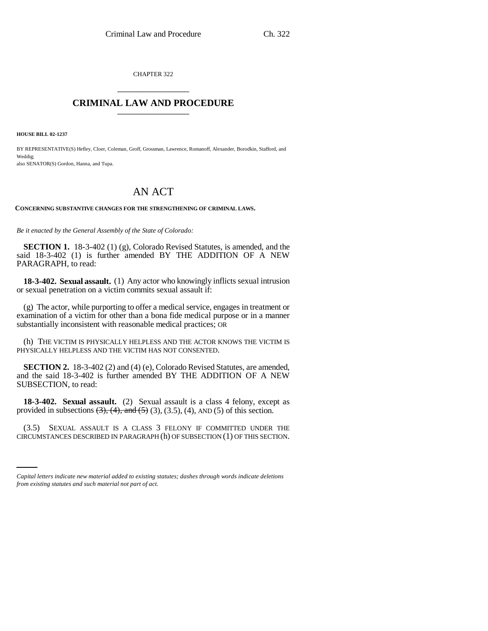CHAPTER 322 \_\_\_\_\_\_\_\_\_\_\_\_\_\_\_

# **CRIMINAL LAW AND PROCEDURE** \_\_\_\_\_\_\_\_\_\_\_\_\_\_\_

**HOUSE BILL 02-1237**

BY REPRESENTATIVE(S) Hefley, Cloer, Coleman, Groff, Grossman, Lawrence, Romanoff, Alexander, Borodkin, Stafford, and Weddig; also SENATOR(S) Gordon, Hanna, and Tupa.

# AN ACT

**CONCERNING SUBSTANTIVE CHANGES FOR THE STRENGTHENING OF CRIMINAL LAWS.**

*Be it enacted by the General Assembly of the State of Colorado:*

**SECTION 1.** 18-3-402 (1) (g), Colorado Revised Statutes, is amended, and the said 18-3-402 (1) is further amended BY THE ADDITION OF A NEW PARAGRAPH, to read:

**18-3-402. Sexual assault.** (1) Any actor who knowingly inflicts sexual intrusion or sexual penetration on a victim commits sexual assault if:

(g) The actor, while purporting to offer a medical service, engages in treatment or examination of a victim for other than a bona fide medical purpose or in a manner substantially inconsistent with reasonable medical practices; OR

(h) THE VICTIM IS PHYSICALLY HELPLESS AND THE ACTOR KNOWS THE VICTIM IS PHYSICALLY HELPLESS AND THE VICTIM HAS NOT CONSENTED.

**SECTION 2.** 18-3-402 (2) and (4) (e), Colorado Revised Statutes, are amended, and the said 18-3-402 is further amended BY THE ADDITION OF A NEW SUBSECTION, to read:

**18-3-402. Sexual assault.** (2) Sexual assault is a class 4 felony, except as provided in subsections  $(3)$ ,  $(4)$ , and  $(5)$   $(3)$ ,  $(3.5)$ ,  $(4)$ , AND  $(5)$  of this section.

(3.5) SEXUAL ASSAULT IS A CLASS 3 FELONY IF COMMITTED UNDER THE CIRCUMSTANCES DESCRIBED IN PARAGRAPH (h) OF SUBSECTION (1) OF THIS SECTION.

*Capital letters indicate new material added to existing statutes; dashes through words indicate deletions from existing statutes and such material not part of act.*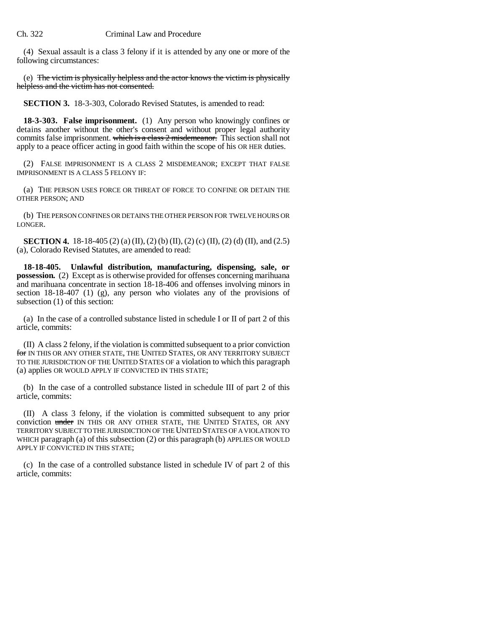(4) Sexual assault is a class 3 felony if it is attended by any one or more of the following circumstances:

(e) The victim is physically helpless and the actor knows the victim is physically helpless and the victim has not consented.

**SECTION 3.** 18-3-303, Colorado Revised Statutes, is amended to read:

**18-3-303. False imprisonment.** (1) Any person who knowingly confines or detains another without the other's consent and without proper legal authority commits false imprisonment. which is a class 2 misdemeanor. This section shall not apply to a peace officer acting in good faith within the scope of his OR HER duties.

(2) FALSE IMPRISONMENT IS A CLASS 2 MISDEMEANOR; EXCEPT THAT FALSE IMPRISONMENT IS A CLASS 5 FELONY IF:

(a) THE PERSON USES FORCE OR THREAT OF FORCE TO CONFINE OR DETAIN THE OTHER PERSON; AND

(b) THE PERSON CONFINES OR DETAINS THE OTHER PERSON FOR TWELVE HOURS OR LONGER.

**SECTION 4.** 18-18-405 (2) (a) (II), (2) (b) (II), (2) (c) (II), (2) (d) (II), and (2.5) (a), Colorado Revised Statutes, are amended to read:

**18-18-405. Unlawful distribution, manufacturing, dispensing, sale, or possession.** (2) Except as is otherwise provided for offenses concerning marihuana and marihuana concentrate in section 18-18-406 and offenses involving minors in section 18-18-407 (1) (g), any person who violates any of the provisions of subsection (1) of this section:

(a) In the case of a controlled substance listed in schedule I or II of part 2 of this article, commits:

(II) A class 2 felony, if the violation is committed subsequent to a prior conviction for IN THIS OR ANY OTHER STATE, THE UNITED STATES, OR ANY TERRITORY SUBJECT TO THE JURISDICTION OF THE UNITED STATES OF a violation to which this paragraph (a) applies OR WOULD APPLY IF CONVICTED IN THIS STATE;

(b) In the case of a controlled substance listed in schedule III of part 2 of this article, commits:

(II) A class 3 felony, if the violation is committed subsequent to any prior conviction under IN THIS OR ANY OTHER STATE, THE UNITED STATES, OR ANY TERRITORY SUBJECT TO THE JURISDICTION OF THE UNITED STATES OF A VIOLATION TO WHICH paragraph (a) of this subsection (2) or this paragraph (b) APPLIES OR WOULD APPLY IF CONVICTED IN THIS STATE;

(c) In the case of a controlled substance listed in schedule IV of part 2 of this article, commits: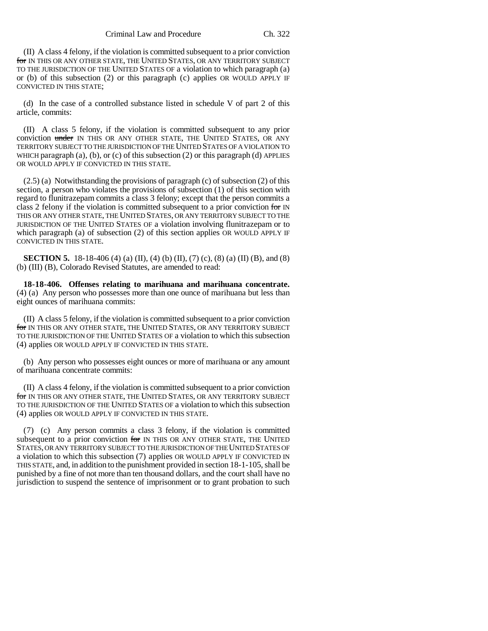(II) A class 4 felony, if the violation is committed subsequent to a prior conviction for IN THIS OR ANY OTHER STATE, THE UNITED STATES, OR ANY TERRITORY SUBJECT TO THE JURISDICTION OF THE UNITED STATES OF a violation to which paragraph (a) or (b) of this subsection (2) or this paragraph (c) applies OR WOULD APPLY IF CONVICTED IN THIS STATE;

(d) In the case of a controlled substance listed in schedule V of part 2 of this article, commits:

(II) A class 5 felony, if the violation is committed subsequent to any prior conviction under IN THIS OR ANY OTHER STATE, THE UNITED STATES, OR ANY TERRITORY SUBJECT TO THE JURISDICTION OF THE UNITED STATES OF A VIOLATION TO WHICH paragraph (a), (b), or (c) of this subsection (2) or this paragraph (d) APPLIES OR WOULD APPLY IF CONVICTED IN THIS STATE.

(2.5) (a) Notwithstanding the provisions of paragraph (c) of subsection (2) of this section, a person who violates the provisions of subsection (1) of this section with regard to flunitrazepam commits a class 3 felony; except that the person commits a class 2 felony if the violation is committed subsequent to a prior conviction for IN THIS OR ANY OTHER STATE, THE UNITED STATES, OR ANY TERRITORY SUBJECT TO THE JURISDICTION OF THE UNITED STATES OF a violation involving flunitrazepam or to which paragraph (a) of subsection (2) of this section applies OR WOULD APPLY IF CONVICTED IN THIS STATE.

**SECTION 5.** 18-18-406 (4) (a) (II), (4) (b) (II), (7) (c), (8) (a) (II) (B), and (8) (b) (III) (B), Colorado Revised Statutes, are amended to read:

**18-18-406. Offenses relating to marihuana and marihuana concentrate.** (4) (a) Any person who possesses more than one ounce of marihuana but less than eight ounces of marihuana commits:

(II) A class 5 felony, if the violation is committed subsequent to a prior conviction for IN THIS OR ANY OTHER STATE, THE UNITED STATES, OR ANY TERRITORY SUBJECT TO THE JURISDICTION OF THE UNITED STATES OF a violation to which this subsection (4) applies OR WOULD APPLY IF CONVICTED IN THIS STATE.

(b) Any person who possesses eight ounces or more of marihuana or any amount of marihuana concentrate commits:

(II) A class 4 felony, if the violation is committed subsequent to a prior conviction for IN THIS OR ANY OTHER STATE, THE UNITED STATES, OR ANY TERRITORY SUBJECT TO THE JURISDICTION OF THE UNITED STATES OF a violation to which this subsection (4) applies OR WOULD APPLY IF CONVICTED IN THIS STATE.

(7) (c) Any person commits a class 3 felony, if the violation is committed subsequent to a prior conviction for IN THIS OR ANY OTHER STATE, THE UNITED STATES, OR ANY TERRITORY SUBJECT TO THE JURISDICTION OF THE UNITED STATES OF a violation to which this subsection (7) applies OR WOULD APPLY IF CONVICTED IN THIS STATE, and, in addition to the punishment provided in section 18-1-105, shall be punished by a fine of not more than ten thousand dollars, and the court shall have no jurisdiction to suspend the sentence of imprisonment or to grant probation to such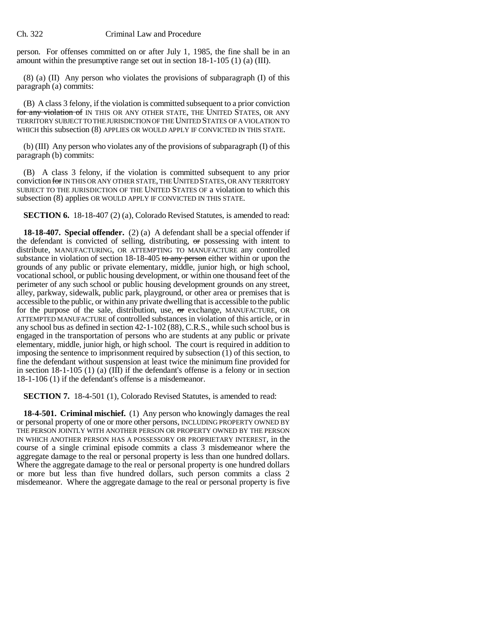person. For offenses committed on or after July 1, 1985, the fine shall be in an amount within the presumptive range set out in section 18-1-105 (1) (a) (III).

(8) (a) (II) Any person who violates the provisions of subparagraph (I) of this paragraph (a) commits:

(B) A class 3 felony, if the violation is committed subsequent to a prior conviction for any violation of IN THIS OR ANY OTHER STATE, THE UNITED STATES, OR ANY TERRITORY SUBJECT TO THE JURISDICTION OF THE UNITED STATES OF A VIOLATION TO WHICH this subsection (8) APPLIES OR WOULD APPLY IF CONVICTED IN THIS STATE.

(b) (III) Any person who violates any of the provisions of subparagraph (I) of this paragraph (b) commits:

(B) A class 3 felony, if the violation is committed subsequent to any prior conviction for IN THIS OR ANY OTHER STATE, THE UNITED STATES, OR ANY TERRITORY SUBJECT TO THE JURISDICTION OF THE UNITED STATES OF a violation to which this subsection (8) applies OR WOULD APPLY IF CONVICTED IN THIS STATE.

**SECTION 6.** 18-18-407 (2) (a), Colorado Revised Statutes, is amended to read:

**18-18-407. Special offender.** (2) (a) A defendant shall be a special offender if the defendant is convicted of selling, distributing,  $\sigma r$  possessing with intent to distribute, MANUFACTURING, OR ATTEMPTING TO MANUFACTURE any controlled substance in violation of section 18-18-405 to any person either within or upon the grounds of any public or private elementary, middle, junior high, or high school, vocational school, or public housing development, or within one thousand feet of the perimeter of any such school or public housing development grounds on any street, alley, parkway, sidewalk, public park, playground, or other area or premises that is accessible to the public, or within any private dwelling that is accessible to the public for the purpose of the sale, distribution, use, or exchange, MANUFACTURE, OR ATTEMPTED MANUFACTURE of controlled substances in violation of this article, or in any school bus as defined in section 42-1-102 (88), C.R.S., while such school bus is engaged in the transportation of persons who are students at any public or private elementary, middle, junior high, or high school. The court is required in addition to imposing the sentence to imprisonment required by subsection (1) of this section, to fine the defendant without suspension at least twice the minimum fine provided for in section 18-1-105 (1) (a) (III) if the defendant's offense is a felony or in section 18-1-106 (1) if the defendant's offense is a misdemeanor.

**SECTION 7.** 18-4-501 (1), Colorado Revised Statutes, is amended to read:

**18-4-501. Criminal mischief.** (1) Any person who knowingly damages the real or personal property of one or more other persons, INCLUDING PROPERTY OWNED BY THE PERSON JOINTLY WITH ANOTHER PERSON OR PROPERTY OWNED BY THE PERSON IN WHICH ANOTHER PERSON HAS A POSSESSORY OR PROPRIETARY INTEREST, in the course of a single criminal episode commits a class 3 misdemeanor where the aggregate damage to the real or personal property is less than one hundred dollars. Where the aggregate damage to the real or personal property is one hundred dollars or more but less than five hundred dollars, such person commits a class 2 misdemeanor. Where the aggregate damage to the real or personal property is five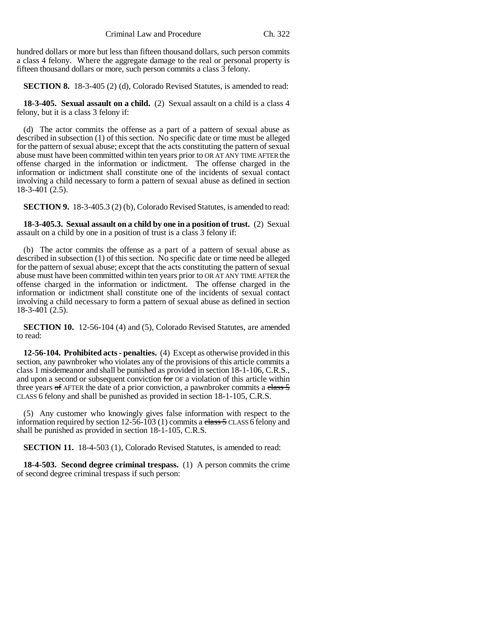hundred dollars or more but less than fifteen thousand dollars, such person commits a class 4 felony. Where the aggregate damage to the real or personal property is fifteen thousand dollars or more, such person commits a class 3 felony.

**SECTION 8.** 18-3-405 (2) (d), Colorado Revised Statutes, is amended to read:

**18-3-405. Sexual assault on a child.** (2) Sexual assault on a child is a class 4 felony, but it is a class 3 felony if:

(d) The actor commits the offense as a part of a pattern of sexual abuse as described in subsection (1) of this section. No specific date or time must be alleged for the pattern of sexual abuse; except that the acts constituting the pattern of sexual abuse must have been committed within ten years prior to OR AT ANY TIME AFTER the offense charged in the information or indictment. The offense charged in the information or indictment shall constitute one of the incidents of sexual contact involving a child necessary to form a pattern of sexual abuse as defined in section  $18-3-401(2.5)$ .

**SECTION 9.** 18-3-405.3 (2) (b), Colorado Revised Statutes, is amended to read:

**18-3-405.3. Sexual assault on a child by one in a position of trust.** (2) Sexual assault on a child by one in a position of trust is a class 3 felony if:

(b) The actor commits the offense as a part of a pattern of sexual abuse as described in subsection (1) of this section. No specific date or time need be alleged for the pattern of sexual abuse; except that the acts constituting the pattern of sexual abuse must have been committed within ten years prior to OR AT ANY TIME AFTER the offense charged in the information or indictment. The offense charged in the information or indictment shall constitute one of the incidents of sexual contact involving a child necessary to form a pattern of sexual abuse as defined in section 18-3-401 (2.5).

**SECTION 10.** 12-56-104 (4) and (5), Colorado Revised Statutes, are amended to read:

**12-56-104. Prohibited acts - penalties.** (4) Except as otherwise provided in this section, any pawnbroker who violates any of the provisions of this article commits a class 1 misdemeanor and shall be punished as provided in section 18-1-106, C.R.S., and upon a second or subsequent conviction for OF a violation of this article within three years  $\sigma$ f AFTER the date of a prior conviction, a pawnbroker commits a class  $\frac{5}{5}$ CLASS 6 felony and shall be punished as provided in section 18-1-105, C.R.S.

(5) Any customer who knowingly gives false information with respect to the information required by section  $12-\overline{56}-103$  (1) commits a class 5 CLASS 6 felony and shall be punished as provided in section 18-1-105, C.R.S.

**SECTION 11.** 18-4-503 (1), Colorado Revised Statutes, is amended to read:

**18-4-503. Second degree criminal trespass.** (1) A person commits the crime of second degree criminal trespass if such person: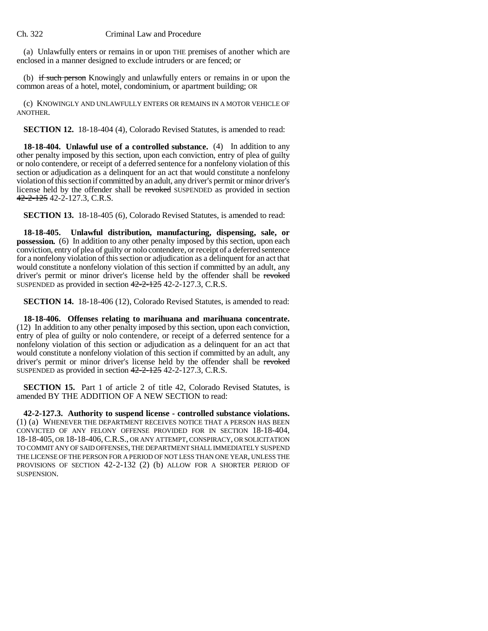(a) Unlawfully enters or remains in or upon THE premises of another which are enclosed in a manner designed to exclude intruders or are fenced; or

(b) if such person Knowingly and unlawfully enters or remains in or upon the common areas of a hotel, motel, condominium, or apartment building; OR

(c) KNOWINGLY AND UNLAWFULLY ENTERS OR REMAINS IN A MOTOR VEHICLE OF ANOTHER.

**SECTION 12.** 18-18-404 (4), Colorado Revised Statutes, is amended to read:

**18-18-404. Unlawful use of a controlled substance.** (4) In addition to any other penalty imposed by this section, upon each conviction, entry of plea of guilty or nolo contendere, or receipt of a deferred sentence for a nonfelony violation of this section or adjudication as a delinquent for an act that would constitute a nonfelony violation of this section if committed by an adult, any driver's permit or minor driver's license held by the offender shall be revoked SUSPENDED as provided in section 42-2-125 42-2-127.3, C.R.S.

**SECTION 13.** 18-18-405 (6), Colorado Revised Statutes, is amended to read:

**18-18-405. Unlawful distribution, manufacturing, dispensing, sale, or possession.** (6) In addition to any other penalty imposed by this section, upon each conviction, entry of plea of guilty or nolo contendere, or receipt of a deferred sentence for a nonfelony violation of this section or adjudication as a delinquent for an act that would constitute a nonfelony violation of this section if committed by an adult, any driver's permit or minor driver's license held by the offender shall be revoked SUSPENDED as provided in section 42-2-125 42-2-127.3, C.R.S.

**SECTION 14.** 18-18-406 (12), Colorado Revised Statutes, is amended to read:

**18-18-406. Offenses relating to marihuana and marihuana concentrate.** (12) In addition to any other penalty imposed by this section, upon each conviction, entry of plea of guilty or nolo contendere, or receipt of a deferred sentence for a nonfelony violation of this section or adjudication as a delinquent for an act that would constitute a nonfelony violation of this section if committed by an adult, any driver's permit or minor driver's license held by the offender shall be revoked SUSPENDED as provided in section 42-2-125 42-2-127.3, C.R.S.

**SECTION 15.** Part 1 of article 2 of title 42. Colorado Revised Statutes, is amended BY THE ADDITION OF A NEW SECTION to read:

**42-2-127.3. Authority to suspend license - controlled substance violations.** (1) (a) WHENEVER THE DEPARTMENT RECEIVES NOTICE THAT A PERSON HAS BEEN CONVICTED OF ANY FELONY OFFENSE PROVIDED FOR IN SECTION 18-18-404, 18-18-405, OR 18-18-406,C.R.S., OR ANY ATTEMPT, CONSPIRACY, OR SOLICITATION TO COMMIT ANY OF SAID OFFENSES, THE DEPARTMENT SHALL IMMEDIATELY SUSPEND THE LICENSE OF THE PERSON FOR A PERIOD OF NOT LESS THAN ONE YEAR, UNLESS THE PROVISIONS OF SECTION 42-2-132 (2) (b) ALLOW FOR A SHORTER PERIOD OF SUSPENSION.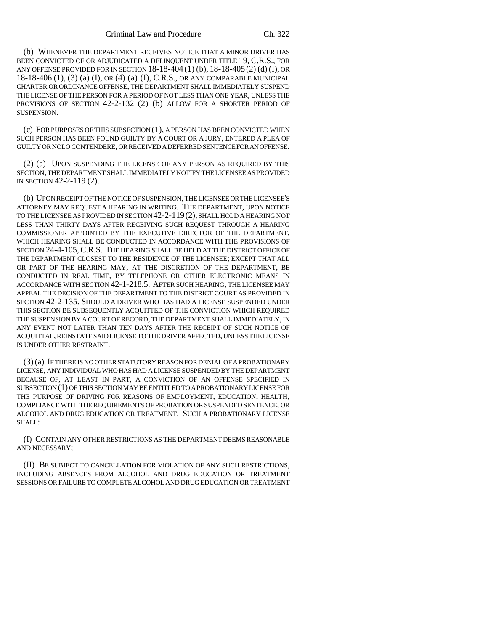(b) WHENEVER THE DEPARTMENT RECEIVES NOTICE THAT A MINOR DRIVER HAS BEEN CONVICTED OF OR ADJUDICATED A DELINQUENT UNDER TITLE 19, C.R.S., FOR ANY OFFENSE PROVIDED FOR IN SECTION 18-18-404 (1) (b), 18-18-405 (2) (d) (I), OR 18-18-406 (1), (3) (a) (I), OR (4) (a) (I), C.R.S., OR ANY COMPARABLE MUNICIPAL CHARTER OR ORDINANCE OFFENSE, THE DEPARTMENT SHALL IMMEDIATELY SUSPEND THE LICENSE OF THE PERSON FOR A PERIOD OF NOT LESS THAN ONE YEAR, UNLESS THE PROVISIONS OF SECTION 42-2-132 (2) (b) ALLOW FOR A SHORTER PERIOD OF **SUSPENSION** 

(c) FOR PURPOSES OF THIS SUBSECTION (1), A PERSON HAS BEEN CONVICTED WHEN SUCH PERSON HAS BEEN FOUND GUILTY BY A COURT OR A JURY, ENTERED A PLEA OF GUILTY OR NOLO CONTENDERE, OR RECEIVED A DEFERRED SENTENCE FOR AN OFFENSE.

(2) (a) UPON SUSPENDING THE LICENSE OF ANY PERSON AS REQUIRED BY THIS SECTION, THE DEPARTMENT SHALL IMMEDIATELY NOTIFY THE LICENSEE AS PROVIDED IN SECTION 42-2-119 (2).

(b) UPON RECEIPT OF THE NOTICE OF SUSPENSION, THE LICENSEE OR THE LICENSEE'S ATTORNEY MAY REQUEST A HEARING IN WRITING. THE DEPARTMENT, UPON NOTICE TO THE LICENSEE AS PROVIDED IN SECTION 42-2-119(2), SHALL HOLD A HEARING NOT LESS THAN THIRTY DAYS AFTER RECEIVING SUCH REQUEST THROUGH A HEARING COMMISSIONER APPOINTED BY THE EXECUTIVE DIRECTOR OF THE DEPARTMENT, WHICH HEARING SHALL BE CONDUCTED IN ACCORDANCE WITH THE PROVISIONS OF SECTION 24-4-105, C.R.S. THE HEARING SHALL BE HELD AT THE DISTRICT OFFICE OF THE DEPARTMENT CLOSEST TO THE RESIDENCE OF THE LICENSEE; EXCEPT THAT ALL OR PART OF THE HEARING MAY, AT THE DISCRETION OF THE DEPARTMENT, BE CONDUCTED IN REAL TIME, BY TELEPHONE OR OTHER ELECTRONIC MEANS IN ACCORDANCE WITH SECTION 42-1-218.5. AFTER SUCH HEARING, THE LICENSEE MAY APPEAL THE DECISION OF THE DEPARTMENT TO THE DISTRICT COURT AS PROVIDED IN SECTION 42-2-135. SHOULD A DRIVER WHO HAS HAD A LICENSE SUSPENDED UNDER THIS SECTION BE SUBSEQUENTLY ACQUITTED OF THE CONVICTION WHICH REQUIRED THE SUSPENSION BY A COURT OF RECORD, THE DEPARTMENT SHALL IMMEDIATELY, IN ANY EVENT NOT LATER THAN TEN DAYS AFTER THE RECEIPT OF SUCH NOTICE OF ACQUITTAL, REINSTATE SAID LICENSE TO THE DRIVER AFFECTED, UNLESS THE LICENSE IS UNDER OTHER RESTRAINT.

(3) (a) IF THERE IS NO OTHER STATUTORY REASON FOR DENIAL OF A PROBATIONARY LICENSE, ANY INDIVIDUAL WHO HAS HAD A LICENSE SUSPENDED BY THE DEPARTMENT BECAUSE OF, AT LEAST IN PART, A CONVICTION OF AN OFFENSE SPECIFIED IN SUBSECTION (1) OF THIS SECTION MAY BE ENTITLED TO A PROBATIONARY LICENSE FOR THE PURPOSE OF DRIVING FOR REASONS OF EMPLOYMENT, EDUCATION, HEALTH, COMPLIANCE WITH THE REQUIREMENTS OF PROBATION OR SUSPENDED SENTENCE, OR ALCOHOL AND DRUG EDUCATION OR TREATMENT. SUCH A PROBATIONARY LICENSE SHALL:

(I) CONTAIN ANY OTHER RESTRICTIONS AS THE DEPARTMENT DEEMS REASONABLE AND NECESSARY;

(II) BE SUBJECT TO CANCELLATION FOR VIOLATION OF ANY SUCH RESTRICTIONS, INCLUDING ABSENCES FROM ALCOHOL AND DRUG EDUCATION OR TREATMENT SESSIONS OR FAILURE TO COMPLETE ALCOHOL AND DRUG EDUCATION OR TREATMENT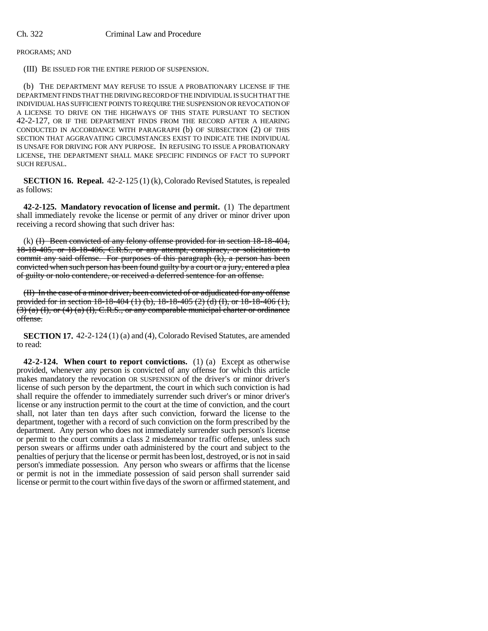PROGRAMS; AND

(III) BE ISSUED FOR THE ENTIRE PERIOD OF SUSPENSION.

(b) THE DEPARTMENT MAY REFUSE TO ISSUE A PROBATIONARY LICENSE IF THE DEPARTMENT FINDS THAT THE DRIVING RECORD OF THE INDIVIDUAL IS SUCH THAT THE INDIVIDUAL HAS SUFFICIENT POINTS TO REQUIRE THE SUSPENSION OR REVOCATION OF A LICENSE TO DRIVE ON THE HIGHWAYS OF THIS STATE PURSUANT TO SECTION 42-2-127, OR IF THE DEPARTMENT FINDS FROM THE RECORD AFTER A HEARING CONDUCTED IN ACCORDANCE WITH PARAGRAPH (b) OF SUBSECTION (2) OF THIS SECTION THAT AGGRAVATING CIRCUMSTANCES EXIST TO INDICATE THE INDIVIDUAL IS UNSAFE FOR DRIVING FOR ANY PURPOSE. IN REFUSING TO ISSUE A PROBATIONARY LICENSE, THE DEPARTMENT SHALL MAKE SPECIFIC FINDINGS OF FACT TO SUPPORT SUCH REFUSAL.

**SECTION 16. Repeal.** 42-2-125 (1) (k), Colorado Revised Statutes, is repealed as follows:

**42-2-125. Mandatory revocation of license and permit.** (1) The department shall immediately revoke the license or permit of any driver or minor driver upon receiving a record showing that such driver has:

(k) (I) Been convicted of any felony offense provided for in section 18-18-404, 18-18-405, or 18-18-406, C.R.S., or any attempt, conspiracy, or solicitation to commit any said offense. For purposes of this paragraph (k), a person has been convicted when such person has been found guilty by a court or a jury, entered a plea of guilty or nolo contendere, or received a deferred sentence for an offense.

(II) In the case of a minor driver, been convicted of or adjudicated for any offense provided for in section 18-18-404 (1) (b), 18-18-405 (2) (d) (I), or 18-18-406 (1),  $(3)$  (a) (I), or (4) (a) (I), C.R.S., or any comparable municipal charter or ordinance offense.

**SECTION 17.** 42-2-124 (1) (a) and (4), Colorado Revised Statutes, are amended to read:

**42-2-124. When court to report convictions.** (1) (a) Except as otherwise provided, whenever any person is convicted of any offense for which this article makes mandatory the revocation OR SUSPENSION of the driver's or minor driver's license of such person by the department, the court in which such conviction is had shall require the offender to immediately surrender such driver's or minor driver's license or any instruction permit to the court at the time of conviction, and the court shall, not later than ten days after such conviction, forward the license to the department, together with a record of such conviction on the form prescribed by the department. Any person who does not immediately surrender such person's license or permit to the court commits a class 2 misdemeanor traffic offense, unless such person swears or affirms under oath administered by the court and subject to the penalties of perjury that the license or permit has been lost, destroyed, or is not in said person's immediate possession. Any person who swears or affirms that the license or permit is not in the immediate possession of said person shall surrender said license or permit to the court within five days of the sworn or affirmed statement, and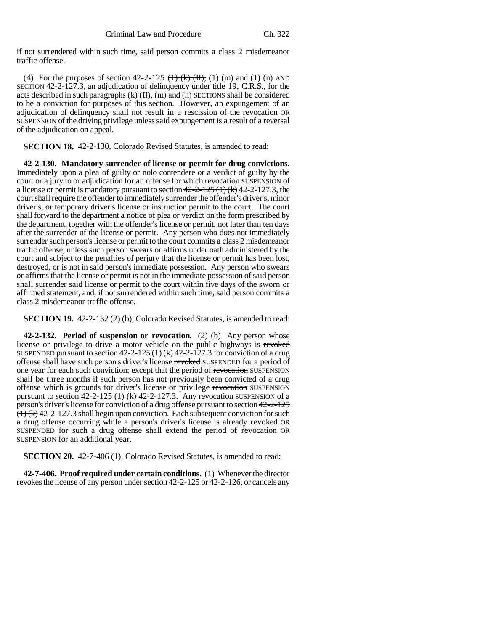if not surrendered within such time, said person commits a class 2 misdemeanor traffic offense.

(4) For the purposes of section  $42-2-125$  ( $\frac{1}{10}$ ,  $\frac{1}{10}$ ,  $\frac{1}{10}$ ,  $\frac{1}{10}$  and  $\frac{1}{10}$  and  $\frac{1}{10}$  and  $\frac{1}{10}$ SECTION 42-2-127.3, an adjudication of delinquency under title 19, C.R.S., for the acts described in such paragraphs  $(k)$   $(H)$ ,  $(m)$  and  $(n)$  SECTIONS shall be considered to be a conviction for purposes of this section. However, an expungement of an adjudication of delinquency shall not result in a rescission of the revocation OR SUSPENSION of the driving privilege unless said expungement is a result of a reversal of the adjudication on appeal.

**SECTION 18.** 42-2-130, Colorado Revised Statutes, is amended to read:

**42-2-130. Mandatory surrender of license or permit for drug convictions.** Immediately upon a plea of guilty or nolo contendere or a verdict of guilty by the court or a jury to or adjudication for an offense for which revocation SUSPENSION of a license or permit is mandatory pursuant to section  $42-2-125(1)(k)$  42-2-127.3, the court shall require the offender to immediately surrender the offender's driver's, minor driver's, or temporary driver's license or instruction permit to the court. The court shall forward to the department a notice of plea or verdict on the form prescribed by the department, together with the offender's license or permit, not later than ten days after the surrender of the license or permit. Any person who does not immediately surrender such person's license or permit to the court commits a class 2 misdemeanor traffic offense, unless such person swears or affirms under oath administered by the court and subject to the penalties of perjury that the license or permit has been lost, destroyed, or is not in said person's immediate possession. Any person who swears or affirms that the license or permit is not in the immediate possession of said person shall surrender said license or permit to the court within five days of the sworn or affirmed statement, and, if not surrendered within such time, said person commits a class 2 misdemeanor traffic offense.

**SECTION 19.** 42-2-132 (2) (b), Colorado Revised Statutes, is amended to read:

**42-2-132. Period of suspension or revocation.** (2) (b) Any person whose license or privilege to drive a motor vehicle on the public highways is revorsed SUSPENDED pursuant to section  $42-2-125(1)(k)$  42-2-127.3 for conviction of a drug offense shall have such person's driver's license revoked SUSPENDED for a period of one year for each such conviction; except that the period of revocation SUSPENSION shall be three months if such person has not previously been convicted of a drug offense which is grounds for driver's license or privilege revocation SUSPENSION pursuant to section  $42-2-125$  (1) (k) 42-2-127.3. Any revocation SUSPENSION of a person's driver's license for conviction of a drug offense pursuant to section 42-2-125  $(1)$  (k) 42-2-127.3 shall begin upon conviction. Each subsequent conviction for such a drug offense occurring while a person's driver's license is already revoked OR SUSPENDED for such a drug offense shall extend the period of revocation OR SUSPENSION for an additional year.

**SECTION 20.** 42-7-406 (1), Colorado Revised Statutes, is amended to read:

**42-7-406. Proof required under certain conditions.** (1) Whenever the director revokes the license of any person under section 42-2-125 or 42-2-126, or cancels any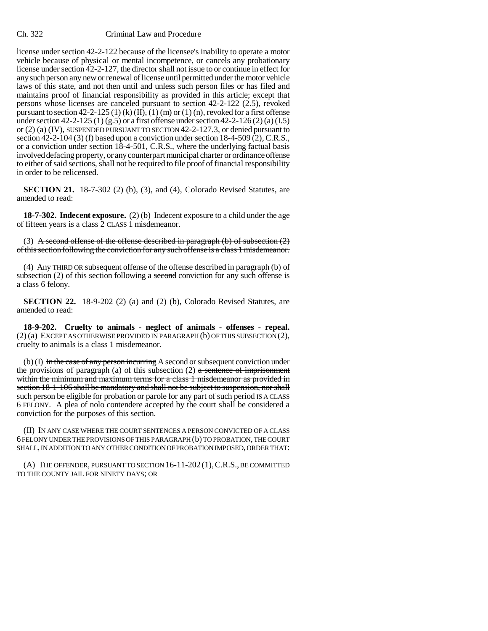license under section 42-2-122 because of the licensee's inability to operate a motor vehicle because of physical or mental incompetence, or cancels any probationary license under section 42-2-127, the director shall not issue to or continue in effect for any such person any new or renewal of license until permitted under the motor vehicle laws of this state, and not then until and unless such person files or has filed and maintains proof of financial responsibility as provided in this article; except that persons whose licenses are canceled pursuant to section 42-2-122 (2.5), revoked pursuant to section 42-2-125  $(\frac{1}{k}(\frac{1}{k})$ ,  $(\frac{1}{k})$  (m) or (1) (n), revoked for a first offense under section 42-2-125 (1) (g.5) or a first offense under section 42-2-126 (2) (a) (I.5) or (2) (a) (IV), SUSPENDED PURSUANT TO SECTION 42-2-127.3, or denied pursuant to section 42-2-104 (3) (f) based upon a conviction under section 18-4-509 (2), C.R.S., or a conviction under section 18-4-501, C.R.S., where the underlying factual basis involved defacing property, or any counterpart municipal charter or ordinance offense to either of said sections, shall not be required to file proof of financial responsibility in order to be relicensed.

**SECTION 21.** 18-7-302 (2) (b), (3), and (4), Colorado Revised Statutes, are amended to read:

**18-7-302. Indecent exposure.** (2) (b) Indecent exposure to a child under the age of fifteen years is a class 2 CLASS 1 misdemeanor.

(3) A second offense of the offense described in paragraph (b) of subsection  $(2)$ of this section following the conviction for any such offense is a class 1 misdemeanor.

(4) Any THIRD OR subsequent offense of the offense described in paragraph (b) of subsection (2) of this section following a second conviction for any such offense is a class 6 felony.

**SECTION 22.** 18-9-202 (2) (a) and (2) (b), Colorado Revised Statutes, are amended to read:

**18-9-202. Cruelty to animals - neglect of animals - offenses - repeal.** (2) (a) EXCEPT AS OTHERWISE PROVIDED IN PARAGRAPH (b) OF THIS SUBSECTION (2), cruelty to animals is a class 1 misdemeanor.

(b) (I) In the case of any person incurring A second or subsequent conviction under the provisions of paragraph (a) of this subsection (2) a sentence of imprisonment within the minimum and maximum terms for a class 1 misdemeanor as provided in section 18-1-106 shall be mandatory and shall not be subject to suspension, nor shall such person be eligible for probation or parole for any part of such period IS A CLASS 6 FELONY. A plea of nolo contendere accepted by the court shall be considered a conviction for the purposes of this section.

(II) IN ANY CASE WHERE THE COURT SENTENCES A PERSON CONVICTED OF A CLASS 6 FELONY UNDER THE PROVISIONS OF THIS PARAGRAPH (b) TO PROBATION, THE COURT SHALL, IN ADDITION TO ANY OTHER CONDITION OF PROBATION IMPOSED, ORDER THAT:

(A) THE OFFENDER, PURSUANT TO SECTION 16-11-202 (1),C.R.S., BE COMMITTED TO THE COUNTY JAIL FOR NINETY DAYS; OR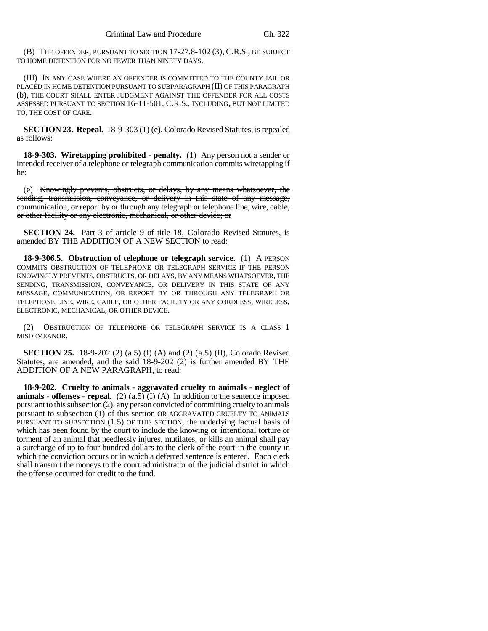(B) THE OFFENDER, PURSUANT TO SECTION 17-27.8-102 (3), C.R.S., BE SUBJECT TO HOME DETENTION FOR NO FEWER THAN NINETY DAYS.

(III) IN ANY CASE WHERE AN OFFENDER IS COMMITTED TO THE COUNTY JAIL OR PLACED IN HOME DETENTION PURSUANT TO SUBPARAGRAPH (II) OF THIS PARAGRAPH (b), THE COURT SHALL ENTER JUDGMENT AGAINST THE OFFENDER FOR ALL COSTS ASSESSED PURSUANT TO SECTION 16-11-501, C.R.S., INCLUDING, BUT NOT LIMITED TO, THE COST OF CARE.

**SECTION 23. Repeal.** 18-9-303 (1) (e), Colorado Revised Statutes, is repealed as follows:

**18-9-303. Wiretapping prohibited - penalty.** (1) Any person not a sender or intended receiver of a telephone or telegraph communication commits wiretapping if he:

(e) Knowingly prevents, obstructs, or delays, by any means whatsoever, the sending, transmission, conveyance, or delivery in this state of any message, communication, or report by or through any telegraph or telephone line, wire, cable, or other facility or any electronic, mechanical, or other device; or

**SECTION 24.** Part 3 of article 9 of title 18, Colorado Revised Statutes, is amended BY THE ADDITION OF A NEW SECTION to read:

**18-9-306.5. Obstruction of telephone or telegraph service.** (1) A PERSON COMMITS OBSTRUCTION OF TELEPHONE OR TELEGRAPH SERVICE IF THE PERSON KNOWINGLY PREVENTS, OBSTRUCTS, OR DELAYS, BY ANY MEANS WHATSOEVER, THE SENDING, TRANSMISSION, CONVEYANCE, OR DELIVERY IN THIS STATE OF ANY MESSAGE, COMMUNICATION, OR REPORT BY OR THROUGH ANY TELEGRAPH OR TELEPHONE LINE, WIRE, CABLE, OR OTHER FACILITY OR ANY CORDLESS, WIRELESS, ELECTRONIC, MECHANICAL, OR OTHER DEVICE.

(2) OBSTRUCTION OF TELEPHONE OR TELEGRAPH SERVICE IS A CLASS 1 MISDEMEANOR.

**SECTION 25.** 18-9-202 (2) (a.5) (I) (A) and (2) (a.5) (II), Colorado Revised Statutes, are amended, and the said 18-9-202 (2) is further amended BY THE ADDITION OF A NEW PARAGRAPH, to read:

**18-9-202. Cruelty to animals - aggravated cruelty to animals - neglect of animals - offenses - repeal.** (2)  $(a.5)$  (I)  $(A)$  In addition to the sentence imposed pursuant to this subsection (2), any person convicted of committing cruelty to animals pursuant to subsection (1) of this section OR AGGRAVATED CRUELTY TO ANIMALS PURSUANT TO SUBSECTION (1.5) OF THIS SECTION, the underlying factual basis of which has been found by the court to include the knowing or intentional torture or torment of an animal that needlessly injures, mutilates, or kills an animal shall pay a surcharge of up to four hundred dollars to the clerk of the court in the county in which the conviction occurs or in which a deferred sentence is entered. Each clerk shall transmit the moneys to the court administrator of the judicial district in which the offense occurred for credit to the fund.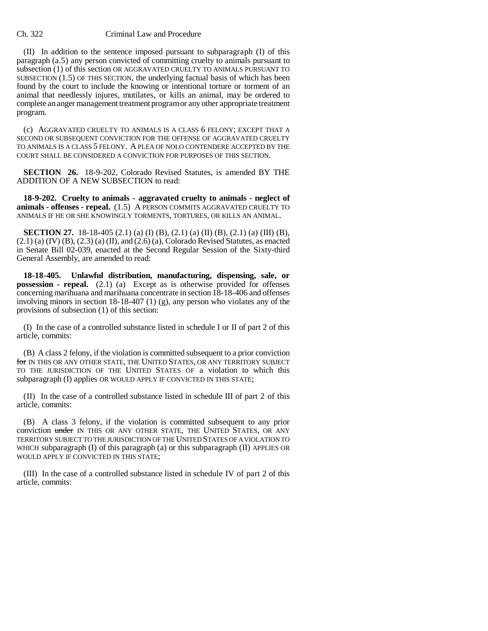(II) In addition to the sentence imposed pursuant to subparagraph (I) of this paragraph (a.5) any person convicted of committing cruelty to animals pursuant to subsection (1) of this section OR AGGRAVATED CRUELTY TO ANIMALS PURSUANT TO SUBSECTION  $(1.5)$  OF THIS SECTION, the underlying factual basis of which has been found by the court to include the knowing or intentional torture or torment of an animal that needlessly injures, mutilates, or kills an animal, may be ordered to complete an anger management treatment program or any other appropriate treatment program.

(c) AGGRAVATED CRUELTY TO ANIMALS IS A CLASS 6 FELONY; EXCEPT THAT A SECOND OR SUBSEQUENT CONVICTION FOR THE OFFENSE OF AGGRAVATED CRUELTY TO ANIMALS IS A CLASS 5 FELONY. A PLEA OF NOLO CONTENDERE ACCEPTED BY THE COURT SHALL BE CONSIDERED A CONVICTION FOR PURPOSES OF THIS SECTION.

**SECTION 26.** 18-9-202, Colorado Revised Statutes, is amended BY THE ADDITION OF A NEW SUBSECTION to read:

**18-9-202. Cruelty to animals - aggravated cruelty to animals - neglect of animals - offenses - repeal.** (1.5) A PERSON COMMITS AGGRAVATED CRUELTY TO ANIMALS IF HE OR SHE KNOWINGLY TORMENTS, TORTURES, OR KILLS AN ANIMAL.

**SECTION 27.** 18-18-405 (2.1) (a) (I) (B), (2.1) (a) (II) (B), (2.1) (a) (III) (B),  $(2.1)$  (a)  $(IV)$  (B),  $(2.3)$  (a)  $(II)$ , and  $(2.6)$  (a), Colorado Revised Statutes, as enacted in Senate Bill 02-039, enacted at the Second Regular Session of the Sixty-third General Assembly, are amended to read:

**18-18-405. Unlawful distribution, manufacturing, dispensing, sale, or possession - repeal.** (2.1) (a) Except as is otherwise provided for offenses concerning marihuana and marihuana concentrate in section 18-18-406 and offenses involving minors in section 18-18-407 (1) (g), any person who violates any of the provisions of subsection (1) of this section:

(I) In the case of a controlled substance listed in schedule I or II of part 2 of this article, commits:

(B) A class 2 felony, if the violation is committed subsequent to a prior conviction for IN THIS OR ANY OTHER STATE, THE UNITED STATES, OR ANY TERRITORY SUBJECT TO THE JURISDICTION OF THE UNITED STATES OF a violation to which this subparagraph (I) applies OR WOULD APPLY IF CONVICTED IN THIS STATE;

(II) In the case of a controlled substance listed in schedule III of part 2 of this article, commits:

(B) A class 3 felony, if the violation is committed subsequent to any prior conviction under IN THIS OR ANY OTHER STATE, THE UNITED STATES, OR ANY TERRITORY SUBJECT TO THE JURISDICTION OF THE UNITED STATES OF A VIOLATION TO WHICH subparagraph  $(I)$  of this paragraph  $(a)$  or this subparagraph  $(II)$  APPLIES OR WOULD APPLY IF CONVICTED IN THIS STATE;

(III) In the case of a controlled substance listed in schedule IV of part 2 of this article, commits: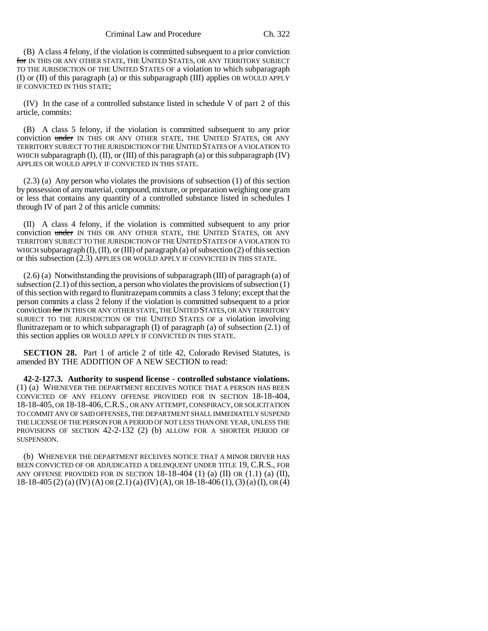(B) A class 4 felony, if the violation is committed subsequent to a prior conviction for IN THIS OR ANY OTHER STATE, THE UNITED STATES, OR ANY TERRITORY SUBJECT TO THE JURISDICTION OF THE UNITED STATES OF a violation to which subparagraph (I) or (II) of this paragraph (a) or this subparagraph (III) applies OR WOULD APPLY IF CONVICTED IN THIS STATE;

(IV) In the case of a controlled substance listed in schedule V of part 2 of this article, commits:

(B) A class 5 felony, if the violation is committed subsequent to any prior conviction under IN THIS OR ANY OTHER STATE, THE UNITED STATES, OR ANY TERRITORY SUBJECT TO THE JURISDICTION OF THE UNITED STATES OF A VIOLATION TO WHICH subparagraph  $(I)$ ,  $(II)$ , or  $(III)$  of this paragraph  $(a)$  or this subparagraph  $(IV)$ APPLIES OR WOULD APPLY IF CONVICTED IN THIS STATE.

(2.3) (a) Any person who violates the provisions of subsection (1) of this section by possession of any material, compound, mixture, or preparation weighing one gram or less that contains any quantity of a controlled substance listed in schedules I through IV of part 2 of this article commits:

(II) A class 4 felony, if the violation is committed subsequent to any prior conviction under IN THIS OR ANY OTHER STATE, THE UNITED STATES, OR ANY TERRITORY SUBJECT TO THE JURISDICTION OF THE UNITED STATES OF A VIOLATION TO WHICH subparagraph  $(I)$ ,  $(II)$ , or  $(III)$  of paragraph  $(a)$  of subsection  $(2)$  of this section or this subsection (2.3) APPLIES OR WOULD APPLY IF CONVICTED IN THIS STATE.

(2.6) (a) Notwithstanding the provisions of subparagraph (III) of paragraph (a) of subsection  $(2.1)$  of this section, a person who violates the provisions of subsection  $(1)$ of this section with regard to flunitrazepam commits a class 3 felony; except that the person commits a class 2 felony if the violation is committed subsequent to a prior conviction for IN THIS OR ANY OTHER STATE, THE UNITED STATES, OR ANY TERRITORY SUBJECT TO THE JURISDICTION OF THE UNITED STATES OF a violation involving flunitrazepam or to which subparagraph  $(I)$  of paragraph  $(a)$  of subsection  $(2.1)$  of this section applies OR WOULD APPLY IF CONVICTED IN THIS STATE.

**SECTION 28.** Part 1 of article 2 of title 42, Colorado Revised Statutes, is amended BY THE ADDITION OF A NEW SECTION to read:

**42-2-127.3. Authority to suspend license - controlled substance violations.** (1) (a) WHENEVER THE DEPARTMENT RECEIVES NOTICE THAT A PERSON HAS BEEN CONVICTED OF ANY FELONY OFFENSE PROVIDED FOR IN SECTION 18-18-404, 18-18-405, OR 18-18-406,C.R.S., OR ANY ATTEMPT, CONSPIRACY, OR SOLICITATION TO COMMIT ANY OF SAID OFFENSES, THE DEPARTMENT SHALL IMMEDIATELY SUSPEND THE LICENSE OF THE PERSON FOR A PERIOD OF NOT LESS THAN ONE YEAR, UNLESS THE PROVISIONS OF SECTION 42-2-132 (2) (b) ALLOW FOR A SHORTER PERIOD OF SUSPENSION.

(b) WHENEVER THE DEPARTMENT RECEIVES NOTICE THAT A MINOR DRIVER HAS BEEN CONVICTED OF OR ADJUDICATED A DELINQUENT UNDER TITLE 19, C.R.S., FOR ANY OFFENSE PROVIDED FOR IN SECTION  $18-18-404$  (1) (a) (II) OR (1.1) (a) (II), 18-18-405 (2) (a) (IV) (A) OR (2.1) (a) (IV) (A), OR 18-18-406 (1),(3) (a) (I), OR (4)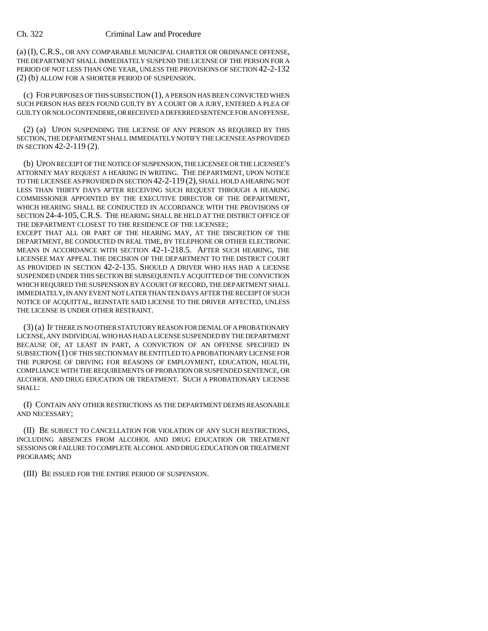(a) (I), C.R.S., OR ANY COMPARABLE MUNICIPAL CHARTER OR ORDINANCE OFFENSE, THE DEPARTMENT SHALL IMMEDIATELY SUSPEND THE LICENSE OF THE PERSON FOR A PERIOD OF NOT LESS THAN ONE YEAR, UNLESS THE PROVISIONS OF SECTION 42-2-132 (2) (b) ALLOW FOR A SHORTER PERIOD OF SUSPENSION.

(c) FOR PURPOSES OF THIS SUBSECTION (1), A PERSON HAS BEEN CONVICTED WHEN SUCH PERSON HAS BEEN FOUND GUILTY BY A COURT OR A JURY, ENTERED A PLEA OF GUILTY OR NOLO CONTENDERE, OR RECEIVED A DEFERRED SENTENCE FOR AN OFFENSE.

(2) (a) UPON SUSPENDING THE LICENSE OF ANY PERSON AS REQUIRED BY THIS SECTION, THE DEPARTMENT SHALL IMMEDIATELY NOTIFY THE LICENSEE AS PROVIDED IN SECTION 42-2-119 (2).

(b) UPON RECEIPT OF THE NOTICE OF SUSPENSION, THE LICENSEE OR THE LICENSEE'S ATTORNEY MAY REQUEST A HEARING IN WRITING. THE DEPARTMENT, UPON NOTICE TO THE LICENSEE AS PROVIDED IN SECTION 42-2-119 (2), SHALL HOLD A HEARING NOT LESS THAN THIRTY DAYS AFTER RECEIVING SUCH REQUEST THROUGH A HEARING COMMISSIONER APPOINTED BY THE EXECUTIVE DIRECTOR OF THE DEPARTMENT, WHICH HEARING SHALL BE CONDUCTED IN ACCORDANCE WITH THE PROVISIONS OF SECTION 24-4-105,C.R.S. THE HEARING SHALL BE HELD AT THE DISTRICT OFFICE OF THE DEPARTMENT CLOSEST TO THE RESIDENCE OF THE LICENSEE;

EXCEPT THAT ALL OR PART OF THE HEARING MAY, AT THE DISCRETION OF THE DEPARTMENT, BE CONDUCTED IN REAL TIME, BY TELEPHONE OR OTHER ELECTRONIC MEANS IN ACCORDANCE WITH SECTION 42-1-218.5. AFTER SUCH HEARING, THE LICENSEE MAY APPEAL THE DECISION OF THE DEPARTMENT TO THE DISTRICT COURT AS PROVIDED IN SECTION 42-2-135. SHOULD A DRIVER WHO HAS HAD A LICENSE SUSPENDED UNDER THIS SECTION BE SUBSEQUENTLY ACQUITTED OF THE CONVICTION WHICH REQUIRED THE SUSPENSION BY A COURT OF RECORD, THE DEPARTMENT SHALL IMMEDIATELY, IN ANY EVENT NOT LATER THAN TEN DAYS AFTER THE RECEIPT OF SUCH NOTICE OF ACQUITTAL, REINSTATE SAID LICENSE TO THE DRIVER AFFECTED, UNLESS THE LICENSE IS UNDER OTHER RESTRAINT.

(3) (a) IF THERE IS NO OTHER STATUTORY REASON FOR DENIAL OF A PROBATIONARY LICENSE, ANY INDIVIDUAL WHO HAS HAD A LICENSE SUSPENDED BY THE DEPARTMENT BECAUSE OF, AT LEAST IN PART, A CONVICTION OF AN OFFENSE SPECIFIED IN SUBSECTION (1) OF THIS SECTION MAY BE ENTITLED TO A PROBATIONARY LICENSE FOR THE PURPOSE OF DRIVING FOR REASONS OF EMPLOYMENT, EDUCATION, HEALTH, COMPLIANCE WITH THE REQUIREMENTS OF PROBATION OR SUSPENDED SENTENCE, OR ALCOHOL AND DRUG EDUCATION OR TREATMENT. SUCH A PROBATIONARY LICENSE SHALL:

(I) CONTAIN ANY OTHER RESTRICTIONS AS THE DEPARTMENT DEEMS REASONABLE AND NECESSARY;

(II) BE SUBJECT TO CANCELLATION FOR VIOLATION OF ANY SUCH RESTRICTIONS, INCLUDING ABSENCES FROM ALCOHOL AND DRUG EDUCATION OR TREATMENT SESSIONS OR FAILURE TO COMPLETE ALCOHOL AND DRUG EDUCATION OR TREATMENT PROGRAMS; AND

(III) BE ISSUED FOR THE ENTIRE PERIOD OF SUSPENSION.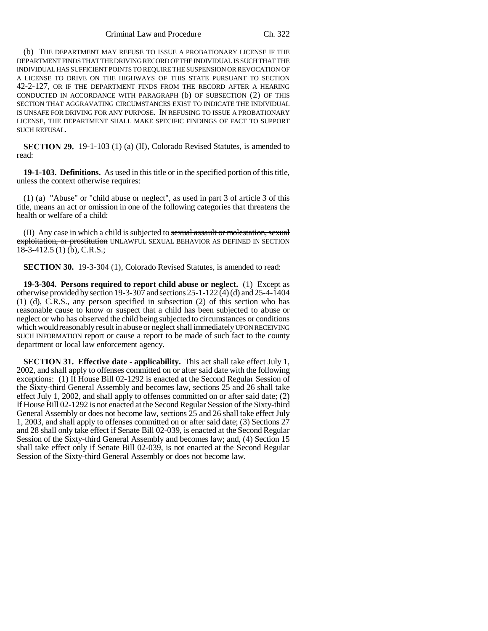Criminal Law and Procedure Ch. 322

(b) THE DEPARTMENT MAY REFUSE TO ISSUE A PROBATIONARY LICENSE IF THE DEPARTMENT FINDS THAT THE DRIVING RECORD OF THE INDIVIDUAL IS SUCH THAT THE INDIVIDUAL HAS SUFFICIENT POINTS TO REQUIRE THE SUSPENSION OR REVOCATION OF A LICENSE TO DRIVE ON THE HIGHWAYS OF THIS STATE PURSUANT TO SECTION 42-2-127, OR IF THE DEPARTMENT FINDS FROM THE RECORD AFTER A HEARING CONDUCTED IN ACCORDANCE WITH PARAGRAPH (b) OF SUBSECTION (2) OF THIS SECTION THAT AGGRAVATING CIRCUMSTANCES EXIST TO INDICATE THE INDIVIDUAL IS UNSAFE FOR DRIVING FOR ANY PURPOSE. IN REFUSING TO ISSUE A PROBATIONARY LICENSE, THE DEPARTMENT SHALL MAKE SPECIFIC FINDINGS OF FACT TO SUPPORT SUCH REFUSAL.

**SECTION 29.** 19-1-103 (1) (a) (II), Colorado Revised Statutes, is amended to read:

**19-1-103. Definitions.** As used in this title or in the specified portion of this title, unless the context otherwise requires:

(1) (a) "Abuse" or "child abuse or neglect", as used in part 3 of article 3 of this title, means an act or omission in one of the following categories that threatens the health or welfare of a child:

(II) Any case in which a child is subjected to sexual assault or molestation, sexual exploitation, or prostitution UNLAWFUL SEXUAL BEHAVIOR AS DEFINED IN SECTION 18-3-412.5 (1) (b), C.R.S.;

**SECTION 30.** 19-3-304 (1), Colorado Revised Statutes, is amended to read:

**19-3-304. Persons required to report child abuse or neglect.** (1) Except as otherwise provided by section 19-3-307 and sections  $25$ -1-122(4)(d) and  $25$ -4-1404 (1) (d), C.R.S., any person specified in subsection (2) of this section who has reasonable cause to know or suspect that a child has been subjected to abuse or neglect or who has observed the child being subjected to circumstances or conditions which would reasonably result in abuse or neglect shall immediately UPON RECEIVING SUCH INFORMATION report or cause a report to be made of such fact to the county department or local law enforcement agency.

**SECTION 31. Effective date - applicability.** This act shall take effect July 1, 2002, and shall apply to offenses committed on or after said date with the following exceptions: (1) If House Bill 02-1292 is enacted at the Second Regular Session of the Sixty-third General Assembly and becomes law, sections 25 and 26 shall take effect July 1, 2002, and shall apply to offenses committed on or after said date; (2) If House Bill 02-1292 is not enacted at the Second Regular Session of the Sixty-third General Assembly or does not become law, sections 25 and 26 shall take effect July 1, 2003, and shall apply to offenses committed on or after said date; (3) Sections 27 and 28 shall only take effect if Senate Bill 02-039, is enacted at the Second Regular Session of the Sixty-third General Assembly and becomes law; and, (4) Section 15 shall take effect only if Senate Bill 02-039, is not enacted at the Second Regular Session of the Sixty-third General Assembly or does not become law.